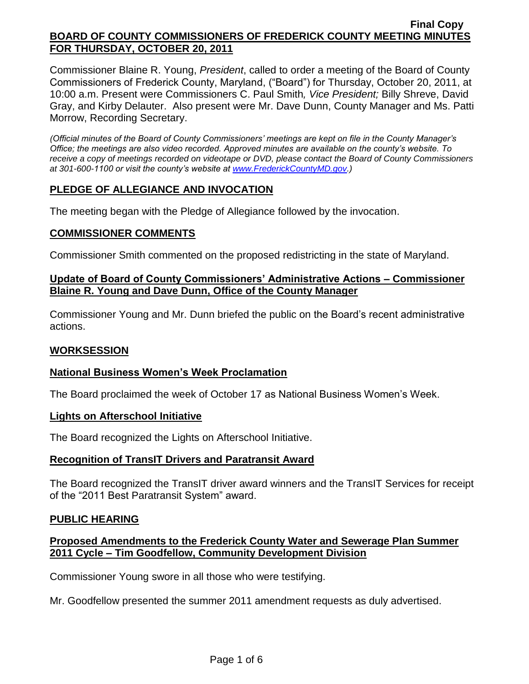Commissioner Blaine R. Young, *President*, called to order a meeting of the Board of County Commissioners of Frederick County, Maryland, ("Board") for Thursday, October 20, 2011, at 10:00 a.m. Present were Commissioners C. Paul Smith*, Vice President;* Billy Shreve, David Gray, and Kirby Delauter. Also present were Mr. Dave Dunn, County Manager and Ms. Patti Morrow, Recording Secretary.

*(Official minutes of the Board of County Commissioners' meetings are kept on file in the County Manager's Office; the meetings are also video recorded. Approved minutes are available on the county's website. To receive a copy of meetings recorded on videotape or DVD, please contact the Board of County Commissioners at 301-600-1100 or visit the county's website at [www.FrederickCountyMD.gov.](http://www.frederickcountymd.gov/))*

# **PLEDGE OF ALLEGIANCE AND INVOCATION**

The meeting began with the Pledge of Allegiance followed by the invocation.

#### **COMMISSIONER COMMENTS**

Commissioner Smith commented on the proposed redistricting in the state of Maryland.

# **Update of Board of County Commissioners' Administrative Actions – Commissioner Blaine R. Young and Dave Dunn, Office of the County Manager**

Commissioner Young and Mr. Dunn briefed the public on the Board's recent administrative actions.

# **WORKSESSION**

# **National Business Women's Week Proclamation**

The Board proclaimed the week of October 17 as National Business Women's Week.

#### **Lights on Afterschool Initiative**

The Board recognized the Lights on Afterschool Initiative.

# **Recognition of TransIT Drivers and Paratransit Award**

The Board recognized the TransIT driver award winners and the TransIT Services for receipt of the "2011 Best Paratransit System" award.

# **PUBLIC HEARING**

# **Proposed Amendments to the Frederick County Water and Sewerage Plan Summer 2011 Cycle – Tim Goodfellow, Community Development Division**

Commissioner Young swore in all those who were testifying.

Mr. Goodfellow presented the summer 2011 amendment requests as duly advertised.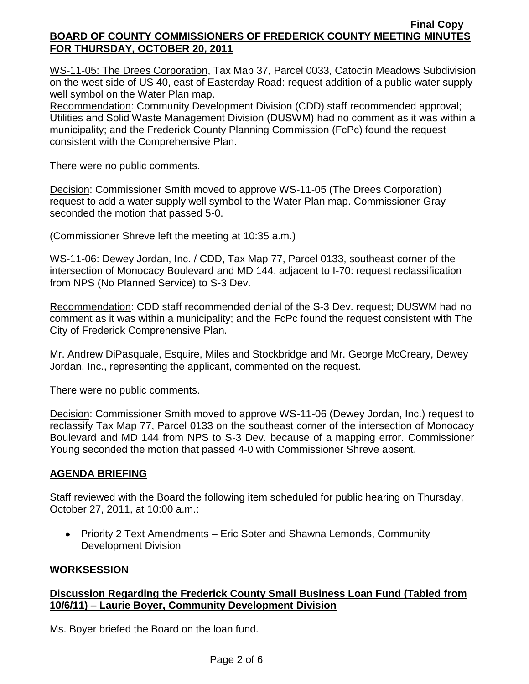WS-11-05: The Drees Corporation, Tax Map 37, Parcel 0033, Catoctin Meadows Subdivision on the west side of US 40, east of Easterday Road: request addition of a public water supply well symbol on the Water Plan map.

Recommendation: Community Development Division (CDD) staff recommended approval; Utilities and Solid Waste Management Division (DUSWM) had no comment as it was within a municipality; and the Frederick County Planning Commission (FcPc) found the request consistent with the Comprehensive Plan.

There were no public comments.

Decision: Commissioner Smith moved to approve WS-11-05 (The Drees Corporation) request to add a water supply well symbol to the Water Plan map. Commissioner Gray seconded the motion that passed 5-0.

(Commissioner Shreve left the meeting at 10:35 a.m.)

WS-11-06: Dewey Jordan, Inc. / CDD, Tax Map 77, Parcel 0133, southeast corner of the intersection of Monocacy Boulevard and MD 144, adjacent to I-70: request reclassification from NPS (No Planned Service) to S-3 Dev.

Recommendation: CDD staff recommended denial of the S-3 Dev. request; DUSWM had no comment as it was within a municipality; and the FcPc found the request consistent with The City of Frederick Comprehensive Plan.

Mr. Andrew DiPasquale, Esquire, Miles and Stockbridge and Mr. George McCreary, Dewey Jordan, Inc., representing the applicant, commented on the request.

There were no public comments.

Decision: Commissioner Smith moved to approve WS-11-06 (Dewey Jordan, Inc.) request to reclassify Tax Map 77, Parcel 0133 on the southeast corner of the intersection of Monocacy Boulevard and MD 144 from NPS to S-3 Dev. because of a mapping error. Commissioner Young seconded the motion that passed 4-0 with Commissioner Shreve absent.

# **AGENDA BRIEFING**

Staff reviewed with the Board the following item scheduled for public hearing on Thursday, October 27, 2011, at 10:00 a.m.:

• Priority 2 Text Amendments – Eric Soter and Shawna Lemonds, Community Development Division

# **WORKSESSION**

# **Discussion Regarding the Frederick County Small Business Loan Fund (Tabled from 10/6/11) – Laurie Boyer, Community Development Division**

Ms. Boyer briefed the Board on the loan fund.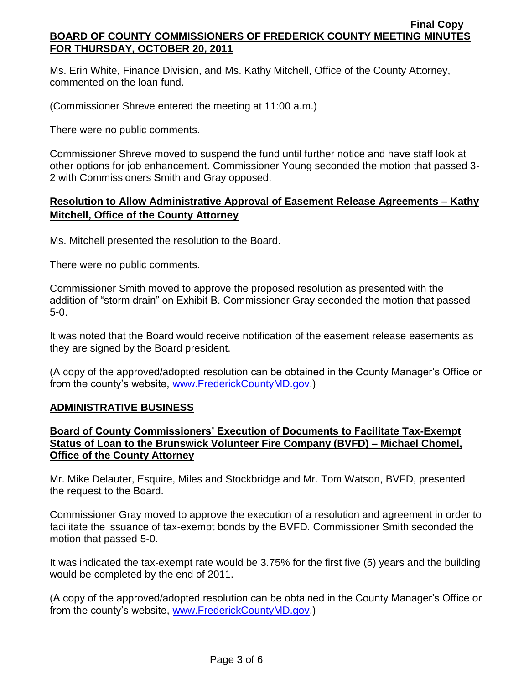Ms. Erin White, Finance Division, and Ms. Kathy Mitchell, Office of the County Attorney, commented on the loan fund.

(Commissioner Shreve entered the meeting at 11:00 a.m.)

There were no public comments.

Commissioner Shreve moved to suspend the fund until further notice and have staff look at other options for job enhancement. Commissioner Young seconded the motion that passed 3- 2 with Commissioners Smith and Gray opposed.

# **Resolution to Allow Administrative Approval of Easement Release Agreements – Kathy Mitchell, Office of the County Attorney**

Ms. Mitchell presented the resolution to the Board.

There were no public comments.

Commissioner Smith moved to approve the proposed resolution as presented with the addition of "storm drain" on Exhibit B. Commissioner Gray seconded the motion that passed 5-0.

It was noted that the Board would receive notification of the easement release easements as they are signed by the Board president.

(A copy of the approved/adopted resolution can be obtained in the County Manager's Office or from the county's website, [www.FrederickCountyMD.gov.](http://www.frederickcountymd.gov/))

# **ADMINISTRATIVE BUSINESS**

# **Board of County Commissioners' Execution of Documents to Facilitate Tax-Exempt Status of Loan to the Brunswick Volunteer Fire Company (BVFD) – Michael Chomel, Office of the County Attorney**

Mr. Mike Delauter, Esquire, Miles and Stockbridge and Mr. Tom Watson, BVFD, presented the request to the Board.

Commissioner Gray moved to approve the execution of a resolution and agreement in order to facilitate the issuance of tax-exempt bonds by the BVFD. Commissioner Smith seconded the motion that passed 5-0.

It was indicated the tax-exempt rate would be 3.75% for the first five (5) years and the building would be completed by the end of 2011.

(A copy of the approved/adopted resolution can be obtained in the County Manager's Office or from the county's website, [www.FrederickCountyMD.gov.](http://www.frederickcountymd.gov/))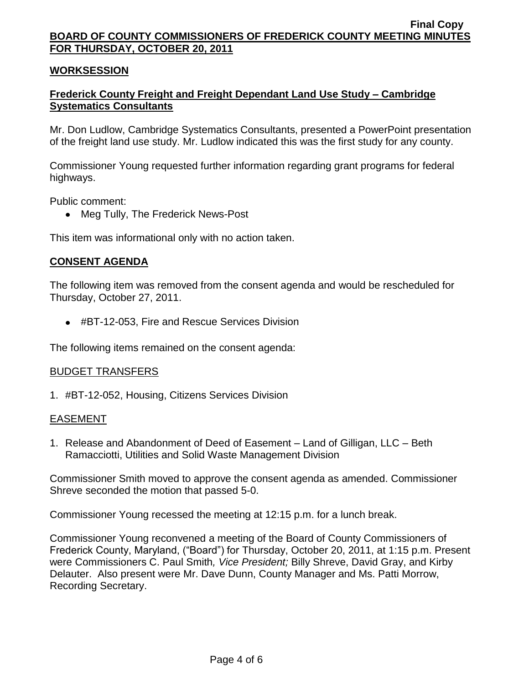### **WORKSESSION**

# **Frederick County Freight and Freight Dependant Land Use Study – Cambridge Systematics Consultants**

Mr. Don Ludlow, Cambridge Systematics Consultants, presented a PowerPoint presentation of the freight land use study. Mr. Ludlow indicated this was the first study for any county.

Commissioner Young requested further information regarding grant programs for federal highways.

Public comment:

• Meg Tully, The Frederick News-Post

This item was informational only with no action taken.

# **CONSENT AGENDA**

The following item was removed from the consent agenda and would be rescheduled for Thursday, October 27, 2011.

#BT-12-053, Fire and Rescue Services Division

The following items remained on the consent agenda:

#### BUDGET TRANSFERS

1. #BT-12-052, Housing, Citizens Services Division

# EASEMENT

1. Release and Abandonment of Deed of Easement – Land of Gilligan, LLC – Beth Ramacciotti, Utilities and Solid Waste Management Division

Commissioner Smith moved to approve the consent agenda as amended. Commissioner Shreve seconded the motion that passed 5-0.

Commissioner Young recessed the meeting at 12:15 p.m. for a lunch break.

Commissioner Young reconvened a meeting of the Board of County Commissioners of Frederick County, Maryland, ("Board") for Thursday, October 20, 2011, at 1:15 p.m. Present were Commissioners C. Paul Smith*, Vice President;* Billy Shreve, David Gray, and Kirby Delauter. Also present were Mr. Dave Dunn, County Manager and Ms. Patti Morrow, Recording Secretary.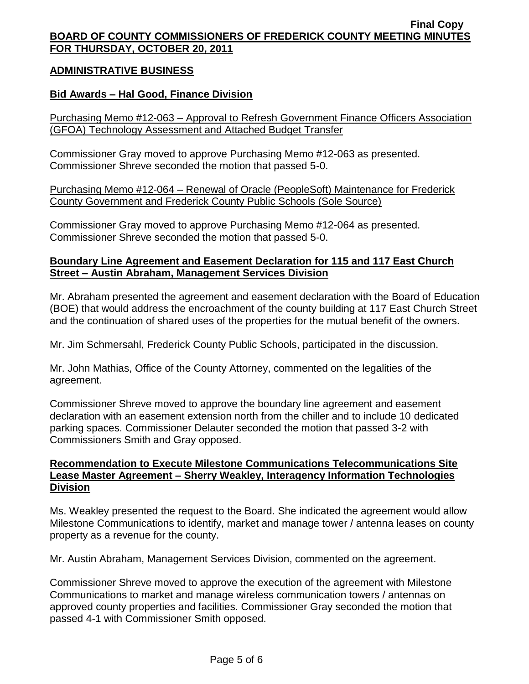# **ADMINISTRATIVE BUSINESS**

# **Bid Awards – Hal Good, Finance Division**

Purchasing Memo #12-063 – Approval to Refresh Government Finance Officers Association (GFOA) Technology Assessment and Attached Budget Transfer

Commissioner Gray moved to approve Purchasing Memo #12-063 as presented. Commissioner Shreve seconded the motion that passed 5-0.

Purchasing Memo #12-064 – Renewal of Oracle (PeopleSoft) Maintenance for Frederick County Government and Frederick County Public Schools (Sole Source)

Commissioner Gray moved to approve Purchasing Memo #12-064 as presented. Commissioner Shreve seconded the motion that passed 5-0.

# **Boundary Line Agreement and Easement Declaration for 115 and 117 East Church Street – Austin Abraham, Management Services Division**

Mr. Abraham presented the agreement and easement declaration with the Board of Education (BOE) that would address the encroachment of the county building at 117 East Church Street and the continuation of shared uses of the properties for the mutual benefit of the owners.

Mr. Jim Schmersahl, Frederick County Public Schools, participated in the discussion.

Mr. John Mathias, Office of the County Attorney, commented on the legalities of the agreement.

Commissioner Shreve moved to approve the boundary line agreement and easement declaration with an easement extension north from the chiller and to include 10 dedicated parking spaces. Commissioner Delauter seconded the motion that passed 3-2 with Commissioners Smith and Gray opposed.

# **Recommendation to Execute Milestone Communications Telecommunications Site Lease Master Agreement – Sherry Weakley, Interagency Information Technologies Division**

Ms. Weakley presented the request to the Board. She indicated the agreement would allow Milestone Communications to identify, market and manage tower / antenna leases on county property as a revenue for the county.

Mr. Austin Abraham, Management Services Division, commented on the agreement.

Commissioner Shreve moved to approve the execution of the agreement with Milestone Communications to market and manage wireless communication towers / antennas on approved county properties and facilities. Commissioner Gray seconded the motion that passed 4-1 with Commissioner Smith opposed.